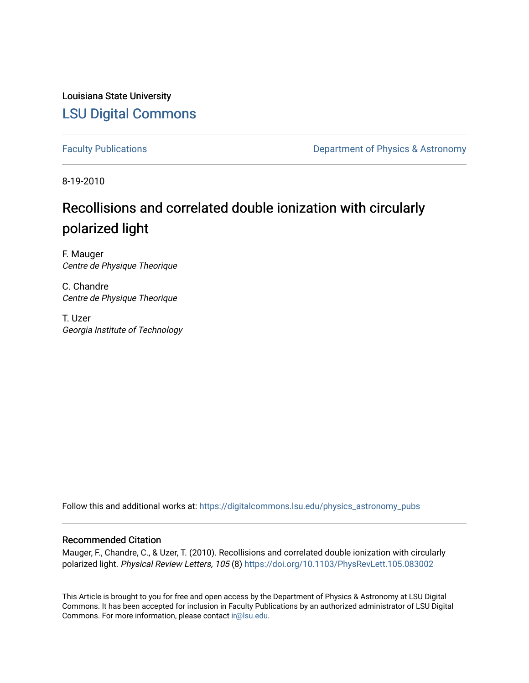Louisiana State University [LSU Digital Commons](https://digitalcommons.lsu.edu/)

[Faculty Publications](https://digitalcommons.lsu.edu/physics_astronomy_pubs) **Exercise 2 and Table 2 and Table 2 and Table 2 and Table 2 and Table 2 and Table 2 and Table 2 and Table 2 and Table 2 and Table 2 and Table 2 and Table 2 and Table 2 and Table 2 and Table 2 and Table** 

8-19-2010

## Recollisions and correlated double ionization with circularly polarized light

F. Mauger Centre de Physique Theorique

C. Chandre Centre de Physique Theorique

T. Uzer Georgia Institute of Technology

Follow this and additional works at: [https://digitalcommons.lsu.edu/physics\\_astronomy\\_pubs](https://digitalcommons.lsu.edu/physics_astronomy_pubs?utm_source=digitalcommons.lsu.edu%2Fphysics_astronomy_pubs%2F3328&utm_medium=PDF&utm_campaign=PDFCoverPages) 

## Recommended Citation

Mauger, F., Chandre, C., & Uzer, T. (2010). Recollisions and correlated double ionization with circularly polarized light. Physical Review Letters, 105 (8) https://doi.org/10.1103/PhysRevLett.105.083002

This Article is brought to you for free and open access by the Department of Physics & Astronomy at LSU Digital Commons. It has been accepted for inclusion in Faculty Publications by an authorized administrator of LSU Digital Commons. For more information, please contact [ir@lsu.edu](mailto:ir@lsu.edu).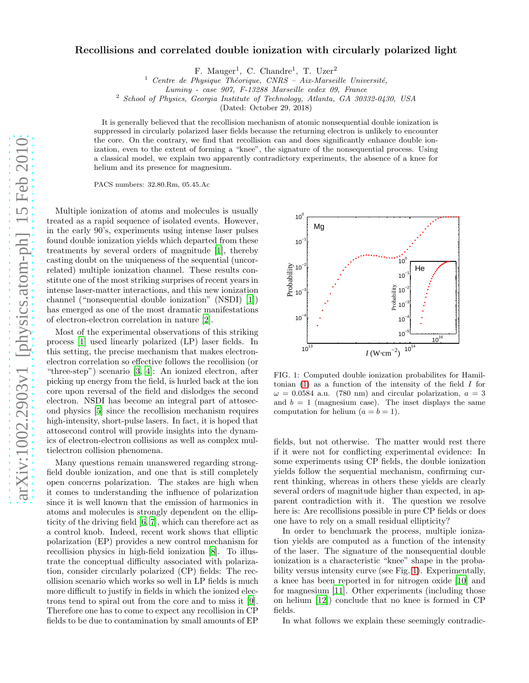## Recollisions and correlated double ionization with circularly polarized light

F. Mauger<sup>1</sup>, C. Chandre<sup>1</sup>, T. Uzer<sup>2</sup>

 $1$  Centre de Physique Théorique, CNRS – Aix-Marseille Université,

Luminy - case 907, F-13288 Marseille cedex 09, France

<sup>2</sup> School of Physics, Georgia Institute of Technology, Atlanta, GA 30332-0430, USA

(Dated: October 29, 2018)

It is generally believed that the recollision mechanism of atomic nonsequential double ionization is suppressed in circularly polarized laser fields because the returning electron is unlikely to encounter the core. On the contrary, we find that recollision can and does significantly enhance double ionization, even to the extent of forming a "knee", the signature of the nonsequential process. Using a classical model, we explain two apparently contradictory experiments, the absence of a knee for helium and its presence for magnesium.

PACS numbers: 32.80.Rm, 05.45.Ac

Multiple ionization of atoms and molecules is usually treated as a rapid sequence of isolated events. However, in the early 90's, experiments using intense laser pulses found double ionization yields which departed from these treatments by several orders of magnitude [\[1](#page-4-0)], thereby casting doubt on the uniqueness of the sequential (uncorrelated) multiple ionization channel. These results constitute one of the most striking surprises of recent years in intense laser-matter interactions, and this new ionization channel ("nonsequential double ionization" (NSDI) [\[1](#page-4-0)]) has emerged as one of the most dramatic manifestations of electron-electron correlation in nature [\[2\]](#page-4-1).

Most of the experimental observations of this striking process [\[1](#page-4-0)] used linearly polarized (LP) laser fields. In this setting, the precise mechanism that makes electronelectron correlation so effective follows the recollision (or "three-step") scenario [\[3](#page-4-2), [4\]](#page-4-3): An ionized electron, after picking up energy from the field, is hurled back at the ion core upon reversal of the field and dislodges the second electron. NSDI has become an integral part of attosecond physics [\[5\]](#page-4-4) since the recollision mechanism requires high-intensity, short-pulse lasers. In fact, it is hoped that attosecond control will provide insights into the dynamics of electron-electron collisions as well as complex multielectron collision phenomena.

Many questions remain unanswered regarding strongfield double ionization, and one that is still completely open concerns polarization. The stakes are high when it comes to understanding the influence of polarization since it is well known that the emission of harmonics in atoms and molecules is strongly dependent on the ellipticity of the driving field [\[6,](#page-4-5) [7](#page-4-6)], which can therefore act as a control knob. Indeed, recent work shows that elliptic polarization (EP) provides a new control mechanism for recollision physics in high-field ionization [\[8](#page-4-7)]. To illustrate the conceptual difficulty associated with polarization, consider circularly polarized (CP) fields: The recollision scenario which works so well in LP fields is much more difficult to justify in fields in which the ionized electrons tend to spiral out from the core and to miss it [\[9\]](#page-4-8). Therefore one has to come to expect any recollision in CP fields to be due to contamination by small amounts of EP



<span id="page-1-0"></span>FIG. 1: Computed double ionization probabilites for Hamiltonian  $(1)$  as a function of the intensity of the field  $I$  for  $\omega = 0.0584$  a.u. (780 nm) and circular polarization,  $a = 3$ and  $b = 1$  (magnesium case). The inset displays the same computation for helium  $(a = b = 1)$ .

fields, but not otherwise. The matter would rest there if it were not for conflicting experimental evidence: In some experiments using CP fields, the double ionization yields follow the sequential mechanism, confirming current thinking, whereas in others these yields are clearly several orders of magnitude higher than expected, in apparent contradiction with it. The question we resolve here is: Are recollisions possible in pure CP fields or does one have to rely on a small residual ellipticity?

In order to benchmark the process, multiple ionization yields are computed as a function of the intensity of the laser. The signature of the nonsequential double ionization is a characteristic "knee" shape in the probability versus intensity curve (see Fig. [1\)](#page-1-0). Experimentally, a knee has been reported in for nitrogen oxide [\[10\]](#page-4-9) and for magnesium [\[11](#page-4-10)]. Other experiments (including those on helium [\[12\]](#page-4-11)) conclude that no knee is formed in CP fields.

In what follows we explain these seemingly contradic-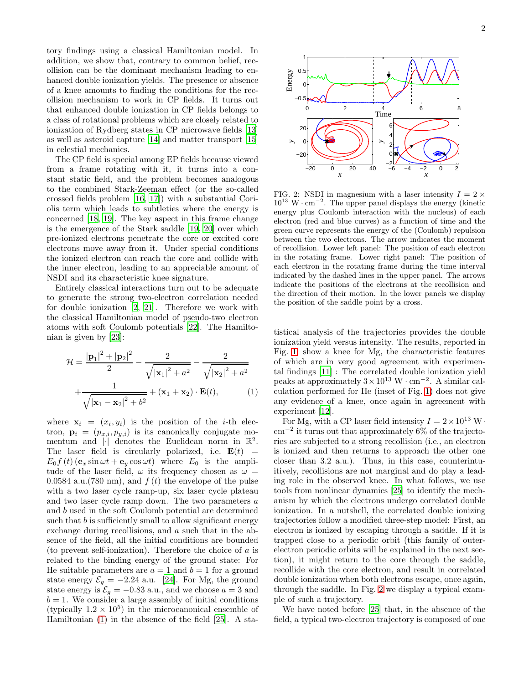tory findings using a classical Hamiltonian model. In addition, we show that, contrary to common belief, recollision can be the dominant mechanism leading to enhanced double ionization yields. The presence or absence of a knee amounts to finding the conditions for the recollision mechanism to work in CP fields. It turns out that enhanced double ionization in CP fields belongs to a class of rotational problems which are closely related to ionization of Rydberg states in CP microwave fields [\[13](#page-4-12)] as well as asteroid capture [\[14\]](#page-4-13) and matter transport [\[15](#page-4-14)] in celestial mechanics.

The CP field is special among EP fields because viewed from a frame rotating with it, it turns into a constant static field, and the problem becomes analogous to the combined Stark-Zeeman effect (or the so-called crossed fields problem [\[16,](#page-4-15) [17](#page-4-16)]) with a substantial Coriolis term which leads to subtleties where the energy is concerned [\[18,](#page-4-17) [19\]](#page-4-18). The key aspect in this frame change is the emergence of the Stark saddle [\[19,](#page-4-18) [20\]](#page-4-19) over which pre-ionized electrons penetrate the core or excited core electrons move away from it. Under special conditions the ionized electron can reach the core and collide with the inner electron, leading to an appreciable amount of NSDI and its characteristic knee signature.

Entirely classical interactions turn out to be adequate to generate the strong two-electron correlation needed for double ionization [\[2](#page-4-1), [21\]](#page-4-20). Therefore we work with the classical Hamiltonian model of pseudo-two electron atoms with soft Coulomb potentials [\[22\]](#page-4-21). The Hamiltonian is given by [\[23\]](#page-4-22):

<span id="page-2-0"></span>
$$
\mathcal{H} = \frac{|\mathbf{p}_1|^2 + |\mathbf{p}_2|^2}{2} - \frac{2}{\sqrt{|\mathbf{x}_1|^2 + a^2}} - \frac{2}{\sqrt{|\mathbf{x}_2|^2 + a^2}} + \frac{1}{\sqrt{|\mathbf{x}_1 - \mathbf{x}_2|^2 + b^2}} + (\mathbf{x}_1 + \mathbf{x}_2) \cdot \mathbf{E}(t),
$$
\n(1)

where  $\mathbf{x}_i = (x_i, y_i)$  is the position of the *i*-th electron,  $\mathbf{p}_i = (p_{x,i}, p_{y,i})$  is its canonically conjugate momentum and  $|\cdot|$  denotes the Euclidean norm in  $\mathbb{R}^2$ . The laser field is circularly polarized, i.e.  $E(t)$  =  $E_0 f(t)$  ( $\mathbf{e}_x \sin \omega t + \mathbf{e}_y \cos \omega t$ ) where  $E_0$  is the amplitude of the laser field,  $\omega$  its frequency chosen as  $\omega =$ 0.0584 a.u. (780 nm), and  $f(t)$  the envelope of the pulse with a two laser cycle ramp-up, six laser cycle plateau and two laser cycle ramp down. The two parameters  $\boldsymbol{a}$ and b used in the soft Coulomb potential are determined such that  $b$  is sufficiently small to allow significant energy exchange during recollisions, and a such that in the absence of the field, all the initial conditions are bounded (to prevent self-ionization). Therefore the choice of a is related to the binding energy of the ground state: For He suitable parameters are  $a = 1$  and  $b = 1$  for a ground state energy  $\mathcal{E}_g = -2.24$  a.u. [\[24\]](#page-4-23). For Mg, the ground state energy is  $\mathcal{E}_g = -0.83$  a.u., and we choose  $a = 3$  and  $b = 1$ . We consider a large assembly of initial conditions (typically  $1.2 \times 10^5$ ) in the microcanonical ensemble of Hamiltonian [\(1\)](#page-2-0) in the absence of the field [\[25](#page-4-24)]. A sta-



<span id="page-2-1"></span>FIG. 2: NSDI in magnesium with a laser intensity  $I = 2 \times$ 10<sup>13</sup> W · cm<sup>−</sup><sup>2</sup> . The upper panel displays the energy (kinetic energy plus Coulomb interaction with the nucleus) of each electron (red and blue curves) as a function of time and the green curve represents the energy of the (Coulomb) repulsion between the two electrons. The arrow indicates the moment of recollision. Lower left panel: The position of each electron in the rotating frame. Lower right panel: The position of each electron in the rotating frame during the time interval indicated by the dashed lines in the upper panel. The arrows indicate the positions of the electrons at the recollision and the direction of their motion. In the lower panels we display the position of the saddle point by a cross.

tistical analysis of the trajectories provides the double ionization yield versus intensity. The results, reported in Fig. [1,](#page-1-0) show a knee for Mg, the characteristic features of which are in very good agreement with experimental findings [\[11](#page-4-10)] : The correlated double ionization yield peaks at approximately  $3 \times 10^{13} \text{ W} \cdot \text{cm}^{-2}$ . A similar calculation performed for He (inset of Fig. [1\)](#page-1-0) does not give any evidence of a knee, once again in agreement with experiment [\[12\]](#page-4-11).

For Mg, with a CP laser field intensity  $I = 2 \times 10^{13}$  W· cm<sup>−</sup><sup>2</sup> it turns out that approximately 6% of the trajectories are subjected to a strong recollision (i.e., an electron is ionized and then returns to approach the other one closer than 3.2 a.u.). Thus, in this case, counterintuitively, recollisions are not marginal and do play a leading role in the observed knee. In what follows, we use tools from nonlinear dynamics [\[25\]](#page-4-24) to identify the mechanism by which the electrons undergo correlated double ionization. In a nutshell, the correlated double ionizing trajectories follow a modified three-step model: First, an electron is ionized by escaping through a saddle. If it is trapped close to a periodic orbit (this family of outerelectron periodic orbits will be explained in the next section), it might return to the core through the saddle, recollide with the core electron, and result in correlated double ionization when both electrons escape, once again, through the saddle. In Fig. [2](#page-2-1) we display a typical example of such a trajectory.

We have noted before [\[25\]](#page-4-24) that, in the absence of the field, a typical two-electron trajectory is composed of one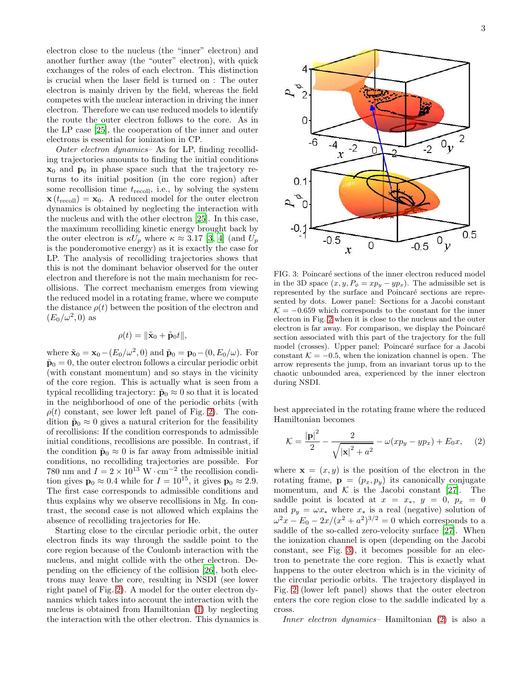electron close to the nucleus (the "inner" electron) and another further away (the "outer" electron), with quick exchanges of the roles of each electron. This distinction is crucial when the laser field is turned on : The outer electron is mainly driven by the field, whereas the field competes with the nuclear interaction in driving the inner electron. Therefore we can use reduced models to identify the route the outer electron follows to the core. As in the LP case [\[25\]](#page-4-24), the cooperation of the inner and outer electrons is essential for ionization in CP.

Outer electron dynamics– As for LP, finding recolliding trajectories amounts to finding the initial conditions  $x_0$  and  $p_0$  in phase space such that the trajectory returns to its initial position (in the core region) after some recollision time  $t_{\text{recoll}}$ , i.e., by solving the system  $\mathbf{x}(t_{\text{recoll}}) = \mathbf{x}_0$ . A reduced model for the outer electron dynamics is obtained by neglecting the interaction with the nucleus and with the other electron [\[25](#page-4-24)]. In this case, the maximum recolliding kinetic energy brought back by the outer electron is  $\kappa U_p$  where  $\kappa \approx 3.17$  [\[3](#page-4-2), [4\]](#page-4-3) (and  $U_p$ ) is the ponderomotive energy) as it is exactly the case for LP. The analysis of recolliding trajectories shows that this is not the dominant behavior observed for the outer electron and therefore is not the main mechanism for recollisions. The correct mechanism emerges from viewing the reduced model in a rotating frame, where we compute the distance  $\rho(t)$  between the position of the electron and  $(E_0/\omega^2,0)$  as

$$
\rho(t) = \|\tilde{\mathbf{x}}_0 + \tilde{\mathbf{p}}_0 t\|,
$$

where  $\tilde{\mathbf{x}}_0 = \mathbf{x}_0 - (E_0/\omega^2, 0)$  and  $\tilde{\mathbf{p}}_0 = \mathbf{p}_0 - (0, E_0/\omega)$ . For  $\tilde{\mathbf{p}}_0 = 0$ , the outer electron follows a circular periodic orbit (with constant momentum) and so stays in the vicinity of the core region. This is actually what is seen from a typical recolliding trajectory:  $\tilde{\mathbf{p}}_0 \approx 0$  so that it is located in the neighborhood of one of the periodic orbits (with  $\rho(t)$  constant, see lower left panel of Fig. [2\)](#page-2-1). The condition  $\tilde{\mathbf{p}}_0 \approx 0$  gives a natural criterion for the feasibility of recollisions: If the condition corresponds to admissible initial conditions, recollisions are possible. In contrast, if the condition  $\tilde{\mathbf{p}}_0 \approx 0$  is far away from admissible initial conditions, no recolliding trajectories are possible. For 780 nm and  $I = 2 \times 10^{13}$  W $\cdot$  cm<sup>-2</sup> the recollision condition gives  $\mathbf{p}_0 \approx 0.4$  while for  $I = 10^{15}$ , it gives  $\mathbf{p}_0 \approx 2.9$ . The first case corresponds to admissible conditions and thus explains why we observe recollisions in Mg. In contrast, the second case is not allowed which explains the absence of recolliding trajectories for He.

Starting close to the circular periodic orbit, the outer electron finds its way through the saddle point to the core region because of the Coulomb interaction with the nucleus, and might collide with the other electron. Depending on the efficiency of the collision [\[26\]](#page-4-25), both electrons may leave the core, resulting in NSDI (see lower right panel of Fig. [2\)](#page-2-1). A model for the outer electron dynamics which takes into account the interaction with the nucleus is obtained from Hamiltonian [\(1\)](#page-2-0) by neglecting the interaction with the other electron. This dynamics is



<span id="page-3-0"></span>FIG. 3: Poincaré sections of the inner electron reduced model in the 3D space  $(x, y, P_{\phi} = xp_y - yp_x)$ . The admissible set is represented by the surface and Poincaré sections are represented by dots. Lower panel: Sections for a Jacobi constant  $\mathcal{K} = -0.659$  which corresponds to the constant for the inner electron in Fig. [2](#page-2-1) when it is close to the nucleus and the outer electron is far away. For comparison, we display the Poincaré section associated with this part of the trajectory for the full model (crosses). Upper panel: Poincaré surface for a Jacobi constant  $K = -0.5$ , when the ionization channel is open. The arrow represents the jump, from an invariant torus up to the chaotic unbounded area, experienced by the inner electron during NSDI.

best appreciated in the rotating frame where the reduced Hamiltonian becomes

<span id="page-3-1"></span>
$$
\mathcal{K} = \frac{|\mathbf{p}|^2}{2} - \frac{2}{\sqrt{|\mathbf{x}|^2 + a^2}} - \omega(x p_y - y p_x) + E_0 x,\quad (2)
$$

where  $\mathbf{x} = (x, y)$  is the position of the electron in the rotating frame,  $\mathbf{p} = (p_x, p_y)$  its canonically conjugate momentum, and  $K$  is the Jacobi constant [\[27\]](#page-4-26). The saddle point is located at  $x = x_*$ ,  $y = 0$ ,  $p_x = 0$ and  $p_y = \omega x_*$  where  $x_*$  is a real (negative) solution of  $\omega^2 x - E_0 - 2x/(x^2 + a^2)^{3/2} = 0$  which corresponds to a saddle of the so-called zero-velocity surface [\[27\]](#page-4-26). When the ionization channel is open (depending on the Jacobi constant, see Fig. [3\)](#page-3-0), it becomes possible for an electron to penetrate the core region. This is exactly what happens to the outer electron which is in the vicinity of the circular periodic orbits. The trajectory displayed in Fig. [2](#page-2-1) (lower left panel) shows that the outer electron enters the core region close to the saddle indicated by a cross.

Inner electron dynamics– Hamiltonian [\(2\)](#page-3-1) is also a